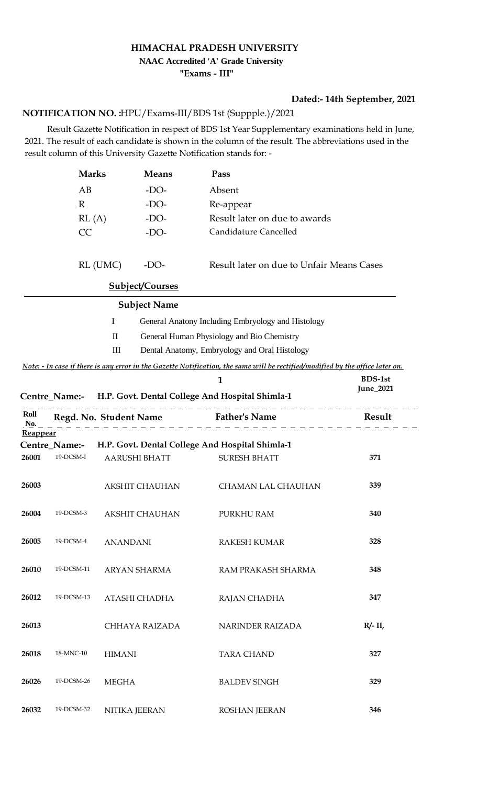## **HIMACHAL PRADESH UNIVERSITY**

## **NAAC Accredited 'A' Grade University**

**"Exams - III"**

## **Dated:- 14th September, 2021**

## HPU/Exams-III/BDS 1st (Suppple.)/2021 **NOTIFICATION NO. :**

 Result Gazette Notification in respect of BDS 1st Year Supplementary examinations held in June, 2021. The result of each candidate is shown in the column of the result. The abbreviations used in the result column of this University Gazette Notification stands for: -

|             | <b>Marks</b>  |                      | <b>Means</b>           | Pass                                                                                                                           |                |
|-------------|---------------|----------------------|------------------------|--------------------------------------------------------------------------------------------------------------------------------|----------------|
|             | AB            |                      | $-DO-$                 | Absent                                                                                                                         |                |
|             | $\mathbb{R}$  |                      | $-DO-$                 | Re-appear                                                                                                                      |                |
|             | RL(A)         |                      | $-DO-$                 | Result later on due to awards                                                                                                  |                |
|             | CC            |                      | $-DO-$                 | Candidature Cancelled                                                                                                          |                |
|             |               |                      |                        |                                                                                                                                |                |
|             |               | RL (UMC)             | $-DO-$                 | Result later on due to Unfair Means Cases                                                                                      |                |
|             |               |                      | <b>Subject/Courses</b> |                                                                                                                                |                |
|             |               |                      | <b>Subject Name</b>    |                                                                                                                                |                |
|             |               | $\bf{I}$             |                        | General Anatony Including Embryology and Histology                                                                             |                |
|             |               | $\mathbf{I}$         |                        | General Human Physiology and Bio Chemistry                                                                                     |                |
|             |               | III                  |                        | Dental Anatomy, Embryology and Oral Histology                                                                                  |                |
|             |               |                      |                        | Note: - In case if there is any error in the Gazette Notification, the same will be rectified/modified by the office later on. |                |
|             |               |                      |                        | $\mathbf{1}$                                                                                                                   | <b>BDS-1st</b> |
|             |               |                      |                        | Centre_Name:- H.P. Govt. Dental College And Hospital Shimla-1                                                                  | June_2021      |
| Roll<br>No. |               |                      |                        | Regd. No. Student Name Father's Name                                                                                           | Result         |
| Reappear    |               |                      |                        |                                                                                                                                |                |
|             | Centre_Name:- |                      |                        | H.P. Govt. Dental College And Hospital Shimla-1                                                                                |                |
| 26001       | 19-DCSM-I     | <b>AARUSHI BHATT</b> |                        | <b>SURESH BHATT</b>                                                                                                            | 371            |
| 26003       |               |                      | AKSHIT CHAUHAN         | <b>CHAMAN LAL CHAUHAN</b>                                                                                                      | 339            |
| 26004       | 19-DCSM-3     |                      | <b>AKSHIT CHAUHAN</b>  | PURKHU RAM                                                                                                                     | 340            |
| 26005       | 19-DCSM-4     | <b>ANANDANI</b>      |                        | <b>RAKESH KUMAR</b>                                                                                                            | 328            |
| 26010       | 19-DCSM-11    | ARYAN SHARMA         |                        | RAM PRAKASH SHARMA                                                                                                             | 348            |
| 26012       | 19-DCSM-13    |                      | ATASHI CHADHA          | RAJAN CHADHA                                                                                                                   | 347            |
| 26013       |               |                      | CHHAYA RAIZADA         | <b>NARINDER RAIZADA</b>                                                                                                        | $R/- II$ ,     |
| 26018       | 18-MNC-10     | <b>HIMANI</b>        |                        | <b>TARA CHAND</b>                                                                                                              | 327            |
| 26026       | 19-DCSM-26    | <b>MEGHA</b>         |                        | <b>BALDEV SINGH</b>                                                                                                            | 329            |
| 26032       | 19-DCSM-32    | NITIKA JEERAN        |                        | <b>ROSHAN JEERAN</b>                                                                                                           | 346            |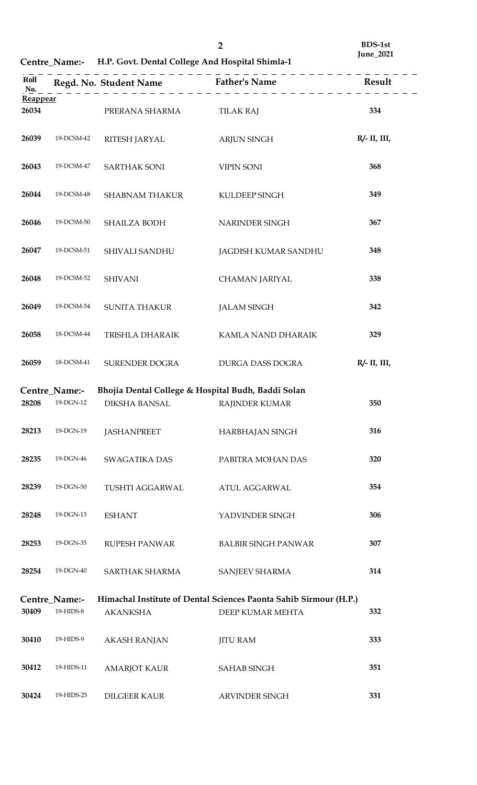**Centre\_Name:- H.P. Govt. Dental College And Hospital Shimla-1**

| Roll<br>No. |                            | -----------------<br>Regd. No. Student Name Father's Name                  |                                                                   | Result             |
|-------------|----------------------------|----------------------------------------------------------------------------|-------------------------------------------------------------------|--------------------|
| Reappear    |                            |                                                                            |                                                                   |                    |
| 26034       |                            | PRERANA SHARMA                                                             | <b>TILAK RAJ</b>                                                  | 334                |
| 26039       | 19-DCSM-42                 | RITESH JARYAL                                                              | <b>ARJUN SINGH</b>                                                | $R/- II$ , $III$ , |
| 26043       | 19-DCSM-47                 | SARTHAK SONI                                                               | <b>VIPIN SONI</b>                                                 | 368                |
| 26044       | 19-DCSM-48                 | <b>SHABNAM THAKUR</b>                                                      | KULDEEP SINGH                                                     | 349                |
| 26046       | 19-DCSM-50                 | <b>SHAILZA BODH</b>                                                        | NARINDER SINGH                                                    | 367                |
| 26047       | 19-DCSM-51                 | SHIVALI SANDHU                                                             | JAGDISH KUMAR SANDHU                                              | 348                |
| 26048       | 19-DCSM-52                 | <b>SHIVANI</b>                                                             | <b>CHAMAN JARIYAL</b>                                             | 338                |
| 26049       | 19-DCSM-54                 | <b>SUNITA THAKUR</b>                                                       | <b>JALAM SINGH</b>                                                | 342                |
| 26058       | 18-DCSM-44                 | TRISHLA DHARAIK                                                            | KAMLA NAND DHARAIK                                                | 329                |
| 26059       | 18-DCSM-41                 | SURENDER DOGRA                                                             | DURGA DASS DOGRA                                                  | $R/- II$ , $III$ , |
|             |                            |                                                                            |                                                                   |                    |
| 28208       | Centre_Name:-<br>19-DGN-12 | Bhojia Dental College & Hospital Budh, Baddi Solan<br><b>DIKSHA BANSAL</b> | RAJINDER KUMAR                                                    | 350                |
| 28213       | 19-DGN-19                  | <b>JASHANPREET</b>                                                         | HARBHAJAN SINGH                                                   | 316                |
| 28235       | 19-DGN-46                  | SWAGATIKA DAS                                                              | PABITRA MOHAN DAS                                                 | 320                |
| 28239       | 19-DGN-50                  | TUSHTI AGGARWAL                                                            | <b>ATUL AGGARWAL</b>                                              | 354                |
| 28248       | 19-DGN-13                  | <b>ESHANT</b>                                                              | YADVINDER SINGH                                                   | 306                |
| 28253       | 19-DGN-35                  | RUPESH PANWAR                                                              | <b>BALBIR SINGH PANWAR</b>                                        | 307                |
| 28254       | 19-DGN-40                  | SARTHAK SHARMA                                                             | SANJEEV SHARMA                                                    | 314                |
|             | Centre_Name:-              |                                                                            | Himachal Institute of Dental Sciences Paonta Sahib Sirmour (H.P.) |                    |
| 30409       | 19-HIDS-8                  | <b>AKANKSHA</b>                                                            | DEEP KUMAR MEHTA                                                  | 332                |
|             |                            |                                                                            |                                                                   |                    |
| 30410       | 19-HIDS-9                  | <b>AKASH RANJAN</b>                                                        | <b>JITU RAM</b>                                                   | 333                |
| 30412       | 19-HIDS-11                 | <b>AMARJOT KAUR</b>                                                        | <b>SAHAB SINGH</b>                                                | 351                |
| 30424       | 19-HIDS-25                 | <b>DILGEER KAUR</b>                                                        | ARVINDER SINGH                                                    | 331                |